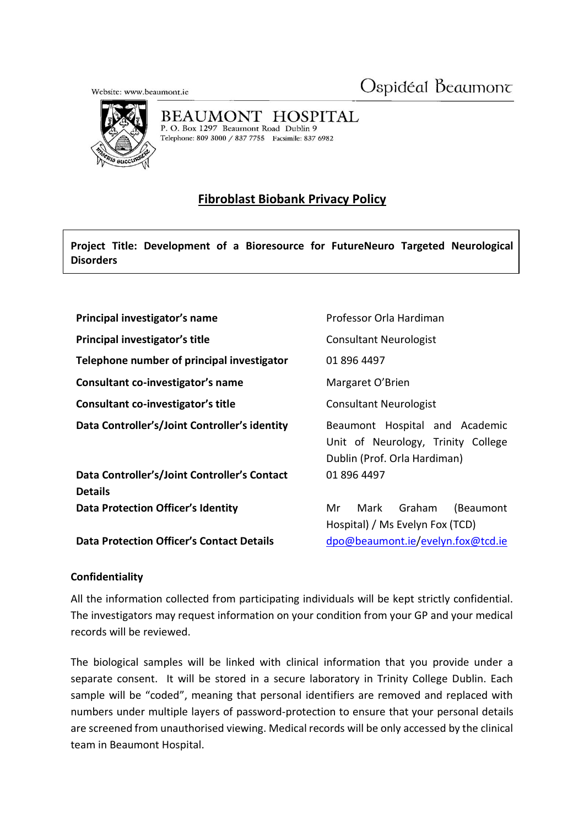Ospidéal Beaumont

Website: www.beaumont.ie



BEAUMONT HOSPITAL P. O. Box 1297 Beaumont Road Dublin 9

Telephone: 809 3000 / 837 7755 Facsimile: 837 6982

## **Fibroblast Biobank Privacy Policy**

**Project Title: Development of a Bioresource for FutureNeuro Targeted Neurological Disorders**

| Principal investigator's name                                  | Professor Orla Hardiman                                                                              |
|----------------------------------------------------------------|------------------------------------------------------------------------------------------------------|
| Principal investigator's title                                 | <b>Consultant Neurologist</b>                                                                        |
| Telephone number of principal investigator                     | 01 896 4497                                                                                          |
| Consultant co-investigator's name                              | Margaret O'Brien                                                                                     |
| Consultant co-investigator's title                             | <b>Consultant Neurologist</b>                                                                        |
| Data Controller's/Joint Controller's identity                  | Beaumont Hospital and Academic<br>Unit of Neurology, Trinity College<br>Dublin (Prof. Orla Hardiman) |
| Data Controller's/Joint Controller's Contact<br><b>Details</b> | 01 896 4497                                                                                          |
| <b>Data Protection Officer's Identity</b>                      | Mark Graham<br>Mr<br>(Beaumont<br>Hospital) / Ms Evelyn Fox (TCD)                                    |
| <b>Data Protection Officer's Contact Details</b>               | dpo@beaumont.ie/evelyn.fox@tcd.ie                                                                    |

## **Confidentiality**

All the information collected from participating individuals will be kept strictly confidential. The investigators may request information on your condition from your GP and your medical records will be reviewed.

The biological samples will be linked with clinical information that you provide under a separate consent. It will be stored in a secure laboratory in Trinity College Dublin. Each sample will be "coded", meaning that personal identifiers are removed and replaced with numbers under multiple layers of password-protection to ensure that your personal details are screened from unauthorised viewing. Medical records will be only accessed by the clinical team in Beaumont Hospital.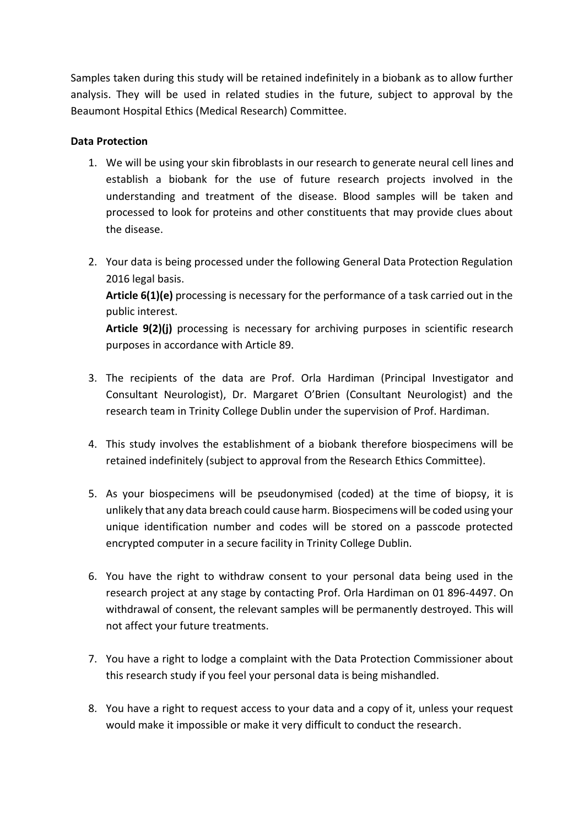Samples taken during this study will be retained indefinitely in a biobank as to allow further analysis. They will be used in related studies in the future, subject to approval by the Beaumont Hospital Ethics (Medical Research) Committee.

## **Data Protection**

- 1. We will be using your skin fibroblasts in our research to generate neural cell lines and establish a biobank for the use of future research projects involved in the understanding and treatment of the disease. Blood samples will be taken and processed to look for proteins and other constituents that may provide clues about the disease.
- 2. Your data is being processed under the following General Data Protection Regulation 2016 legal basis.

**Article 6(1)(e)** processing is necessary for the performance of a task carried out in the public interest.

**Article 9(2)(j)** processing is necessary for archiving purposes in scientific research purposes in accordance with Article 89.

- 3. The recipients of the data are Prof. Orla Hardiman (Principal Investigator and Consultant Neurologist), Dr. Margaret O'Brien (Consultant Neurologist) and the research team in Trinity College Dublin under the supervision of Prof. Hardiman.
- 4. This study involves the establishment of a biobank therefore biospecimens will be retained indefinitely (subject to approval from the Research Ethics Committee).
- 5. As your biospecimens will be pseudonymised (coded) at the time of biopsy, it is unlikely that any data breach could cause harm. Biospecimens will be coded using your unique identification number and codes will be stored on a passcode protected encrypted computer in a secure facility in Trinity College Dublin.
- 6. You have the right to withdraw consent to your personal data being used in the research project at any stage by contacting Prof. Orla Hardiman on 01 896-4497. On withdrawal of consent, the relevant samples will be permanently destroyed. This will not affect your future treatments.
- 7. You have a right to lodge a complaint with the Data Protection Commissioner about this research study if you feel your personal data is being mishandled.
- 8. You have a right to request access to your data and a copy of it, unless your request would make it impossible or make it very difficult to conduct the research.